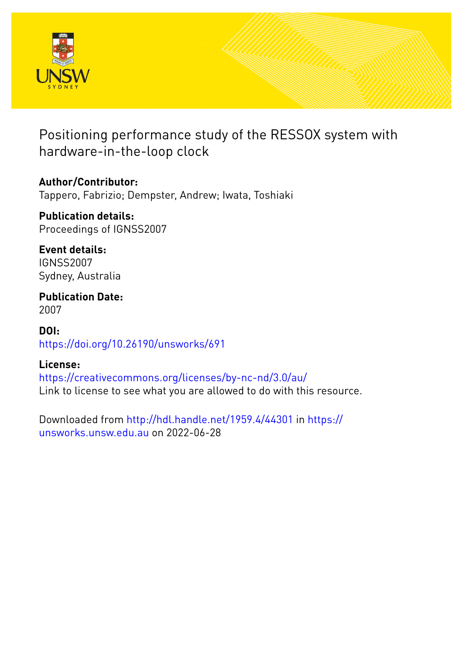

# Positioning performance study of the RESSOX system with hardware-in-the-loop clock

**Author/Contributor:** Tappero, Fabrizio; Dempster, Andrew; Iwata, Toshiaki

**Publication details:** Proceedings of IGNSS2007

**Event details:** IGNSS2007 Sydney, Australia

**Publication Date:** 2007

**DOI:** [https://doi.org/10.26190/unsworks/691](http://dx.doi.org/https://doi.org/10.26190/unsworks/691)

# **License:**

<https://creativecommons.org/licenses/by-nc-nd/3.0/au/> Link to license to see what you are allowed to do with this resource.

Downloaded from <http://hdl.handle.net/1959.4/44301> in [https://](https://unsworks.unsw.edu.au) [unsworks.unsw.edu.au](https://unsworks.unsw.edu.au) on 2022-06-28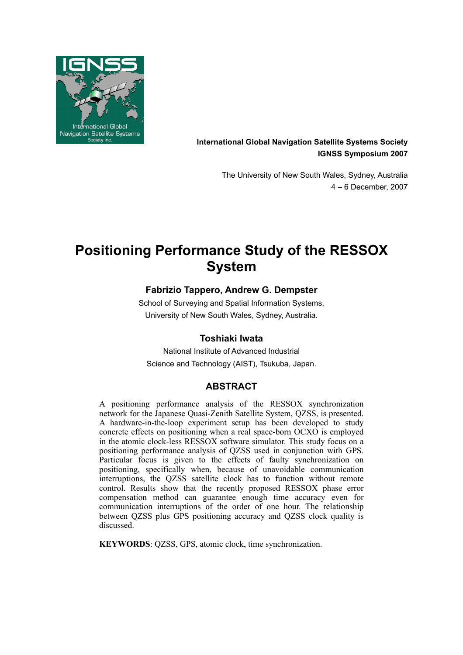

**International Global Navigation Satellite Systems Society IGNSS Symposium 2007**

> The University of New South Wales, Sydney, Australia 4 – 6 December, 2007

# **Positioning Performance Study of the RESSOX System**

# **Fabrizio Tappero, Andrew G. Dempster**

School of Surveying and Spatial Information Systems, University of New South Wales, Sydney, Australia.

# **Toshiaki Iwata**

National Institute of Advanced Industrial Science and Technology (AIST), Tsukuba, Japan.

# **ABSTRACT**

A positioning performance analysis of the RESSOX synchronization network for the Japanese Quasi-Zenith Satellite System, QZSS, is presented. A hardware-in-the-loop experiment setup has been developed to study concrete effects on positioning when a real space-born OCXO is employed in the atomic clock-less RESSOX software simulator. This study focus on a positioning performance analysis of QZSS used in conjunction with GPS. Particular focus is given to the effects of faulty synchronization on positioning, specifically when, because of unavoidable communication interruptions, the QZSS satellite clock has to function without remote control. Results show that the recently proposed RESSOX phase error compensation method can guarantee enough time accuracy even for communication interruptions of the order of one hour. The relationship between QZSS plus GPS positioning accuracy and QZSS clock quality is discussed.

**KEYWORDS**: QZSS, GPS, atomic clock, time synchronization.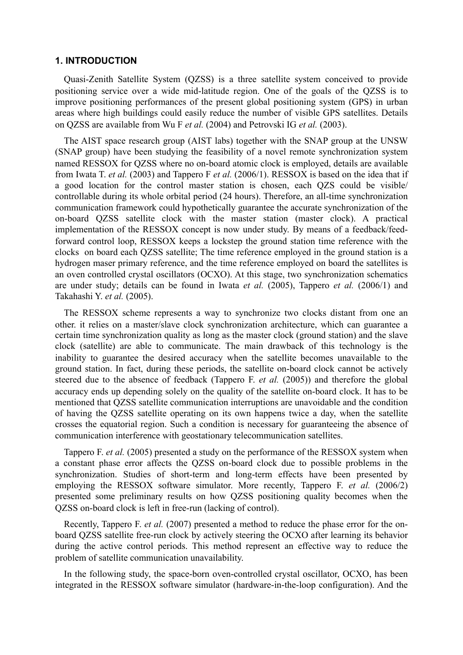#### **1. INTRODUCTION**

Quasi-Zenith Satellite System (QZSS) is a three satellite system conceived to provide positioning service over a wide mid-latitude region. One of the goals of the QZSS is to improve positioning performances of the present global positioning system (GPS) in urban areas where high buildings could easily reduce the number of visible GPS satellites. Details on QZSS are available from Wu F *et al.* (2004) and Petrovski IG *et al.* (2003).

The AIST space research group (AIST labs) together with the SNAP group at the UNSW (SNAP group) have been studying the feasibility of a novel remote synchronization system named RESSOX for QZSS where no on-board atomic clock is employed, details are available from Iwata T. *et al.* (2003) and Tappero F *et al.* (2006/1). RESSOX is based on the idea that if a good location for the control master station is chosen, each QZS could be visible/ controllable during its whole orbital period (24 hours). Therefore, an all-time synchronization communication framework could hypothetically guarantee the accurate synchronization of the on-board QZSS satellite clock with the master station (master clock). A practical implementation of the RESSOX concept is now under study. By means of a feedback/feedforward control loop, RESSOX keeps a lockstep the ground station time reference with the clocks on board each QZSS satellite; The time reference employed in the ground station is a hydrogen maser primary reference, and the time reference employed on board the satellites is an oven controlled crystal oscillators (OCXO). At this stage, two synchronization schematics are under study; details can be found in Iwata *et al.* (2005), Tappero *et al.* (2006/1) and Takahashi Y. *et al.* (2005).

The RESSOX scheme represents a way to synchronize two clocks distant from one an other. it relies on a master/slave clock synchronization architecture, which can guarantee a certain time synchronization quality as long as the master clock (ground station) and the slave clock (satellite) are able to communicate. The main drawback of this technology is the inability to guarantee the desired accuracy when the satellite becomes unavailable to the ground station. In fact, during these periods, the satellite on-board clock cannot be actively steered due to the absence of feedback (Tappero F. *et al.* (2005)) and therefore the global accuracy ends up depending solely on the quality of the satellite on-board clock. It has to be mentioned that QZSS satellite communication interruptions are unavoidable and the condition of having the QZSS satellite operating on its own happens twice a day, when the satellite crosses the equatorial region. Such a condition is necessary for guaranteeing the absence of communication interference with geostationary telecommunication satellites.

Tappero F. *et al.* (2005) presented a study on the performance of the RESSOX system when a constant phase error affects the QZSS on-board clock due to possible problems in the synchronization. Studies of short-term and long-term effects have been presented by employing the RESSOX software simulator. More recently, Tappero F. *et al.* (2006/2) presented some preliminary results on how QZSS positioning quality becomes when the QZSS on-board clock is left in free-run (lacking of control).

Recently, Tappero F. *et al.* (2007) presented a method to reduce the phase error for the onboard QZSS satellite free-run clock by actively steering the OCXO after learning its behavior during the active control periods. This method represent an effective way to reduce the problem of satellite communication unavailability.

In the following study, the space-born oven-controlled crystal oscillator, OCXO, has been integrated in the RESSOX software simulator (hardware-in-the-loop configuration). And the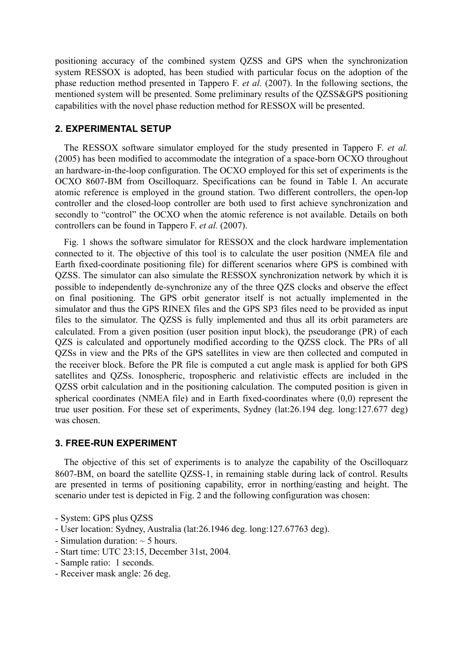positioning accuracy of the combined system QZSS and GPS when the synchronization system RESSOX is adopted, has been studied with particular focus on the adoption of the phase reduction method presented in Tappero F. *et al.* (2007). In the following sections, the mentioned system will be presented. Some preliminary results of the QZSS&GPS positioning capabilities with the novel phase reduction method for RESSOX will be presented.

#### **2. EXPERIMENTAL SETUP**

The RESSOX software simulator employed for the study presented in Tappero F. *et al.*  (2005) has been modified to accommodate the integration of a space-born OCXO throughout an hardware-in-the-loop configuration. The OCXO employed for this set of experiments is the OCXO 8607-BM from Oscilloquarz. Specifications can be found in Table I. An accurate atomic reference is employed in the ground station. Two different controllers, the open-lop controller and the closed-loop controller are both used to first achieve synchronization and secondly to "control" the OCXO when the atomic reference is not available. Details on both controllers can be found in Tappero F. *et al.* (2007).

Fig. 1 shows the software simulator for RESSOX and the clock hardware implementation connected to it. The objective of this tool is to calculate the user position (NMEA file and Earth fixed-coordinate positioning file) for different scenarios where GPS is combined with QZSS. The simulator can also simulate the RESSOX synchronization network by which it is possible to independently de-synchronize any of the three QZS clocks and observe the effect on final positioning. The GPS orbit generator itself is not actually implemented in the simulator and thus the GPS RINEX files and the GPS SP3 files need to be provided as input files to the simulator. The QZSS is fully implemented and thus all its orbit parameters are calculated. From a given position (user position input block), the pseudorange (PR) of each QZS is calculated and opportunely modified according to the QZSS clock. The PRs of all QZSs in view and the PRs of the GPS satellites in view are then collected and computed in the receiver block. Before the PR file is computed a cut angle mask is applied for both GPS satellites and QZSs. Ionospheric, tropospheric and relativistic effects are included in the QZSS orbit calculation and in the positioning calculation. The computed position is given in spherical coordinates (NMEA file) and in Earth fixed-coordinates where (0,0) represent the true user position. For these set of experiments, Sydney (lat:26.194 deg. long:127.677 deg) was chosen.

#### **3. FREE-RUN EXPERIMENT**

The objective of this set of experiments is to analyze the capability of the Oscilloquarz 8607-BM, on board the satellite QZSS-1, in remaining stable during lack of control. Results are presented in terms of positioning capability, error in northing/easting and height. The scenario under test is depicted in Fig. 2 and the following configuration was chosen:

- System: GPS plus QZSS
- User location: Sydney, Australia (lat:26.1946 deg. long:127.67763 deg).
- Simulation duration:  $\sim$  5 hours.
- Start time: UTC 23:15, December 31st, 2004.
- Sample ratio: 1 seconds.
- Receiver mask angle: 26 deg.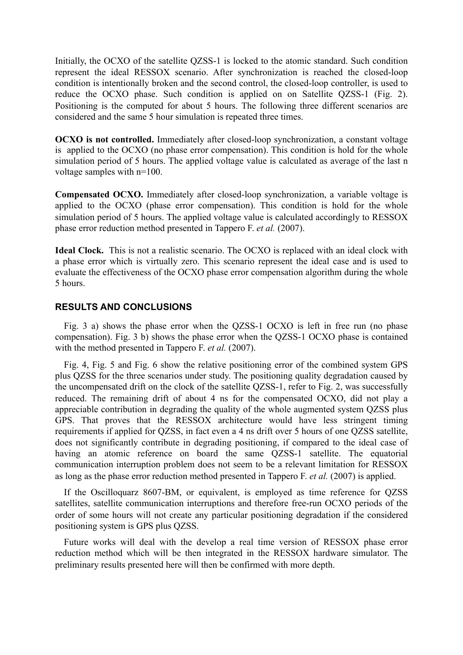Initially, the OCXO of the satellite QZSS-1 is locked to the atomic standard. Such condition represent the ideal RESSOX scenario. After synchronization is reached the closed-loop condition is intentionally broken and the second control, the closed-loop controller, is used to reduce the OCXO phase. Such condition is applied on on Satellite QZSS-1 (Fig. 2). Positioning is the computed for about 5 hours. The following three different scenarios are considered and the same 5 hour simulation is repeated three times.

**OCXO is not controlled.** Immediately after closed-loop synchronization, a constant voltage is applied to the OCXO (no phase error compensation). This condition is hold for the whole simulation period of 5 hours. The applied voltage value is calculated as average of the last n voltage samples with n=100.

**Compensated OCXO.** Immediately after closed-loop synchronization, a variable voltage is applied to the OCXO (phase error compensation). This condition is hold for the whole simulation period of 5 hours. The applied voltage value is calculated accordingly to RESSOX phase error reduction method presented in Tappero F. *et al.* (2007).

**Ideal Clock.** This is not a realistic scenario. The OCXO is replaced with an ideal clock with a phase error which is virtually zero. This scenario represent the ideal case and is used to evaluate the effectiveness of the OCXO phase error compensation algorithm during the whole 5 hours.

### **RESULTS AND CONCLUSIONS**

Fig. 3 a) shows the phase error when the QZSS-1 OCXO is left in free run (no phase compensation). Fig. 3 b) shows the phase error when the QZSS-1 OCXO phase is contained with the method presented in Tappero F. *et al.* (2007).

Fig. 4, Fig. 5 and Fig. 6 show the relative positioning error of the combined system GPS plus QZSS for the three scenarios under study. The positioning quality degradation caused by the uncompensated drift on the clock of the satellite QZSS-1, refer to Fig. 2, was successfully reduced. The remaining drift of about 4 ns for the compensated OCXO, did not play a appreciable contribution in degrading the quality of the whole augmented system QZSS plus GPS. That proves that the RESSOX architecture would have less stringent timing requirements if applied for QZSS, in fact even a 4 ns drift over 5 hours of one QZSS satellite, does not significantly contribute in degrading positioning, if compared to the ideal case of having an atomic reference on board the same QZSS-1 satellite. The equatorial communication interruption problem does not seem to be a relevant limitation for RESSOX as long as the phase error reduction method presented in Tappero F. *et al.* (2007) is applied.

If the Oscilloquarz 8607-BM, or equivalent, is employed as time reference for QZSS satellites, satellite communication interruptions and therefore free-run OCXO periods of the order of some hours will not create any particular positioning degradation if the considered positioning system is GPS plus QZSS.

Future works will deal with the develop a real time version of RESSOX phase error reduction method which will be then integrated in the RESSOX hardware simulator. The preliminary results presented here will then be confirmed with more depth.